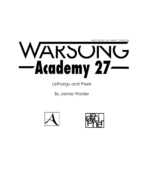TALES FROM THE WARS™ UNIVERSE

## WARSUN -Academy 27-

Lethargy and Pixels

By James Wylder



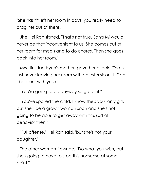"She hasn't left her room in days, you really need to drag her out of there."

Jhe Hei Ran sighed, "That's not true. Sang Mi would never be that inconvenient to us. She comes out of her room for meals and to do chores. Then she goes back into her room."

Mrs. Jin, Jae Hyun's mother, gave her a look. "That's just never leaving her room with an asterisk on it. Can I be blunt with you?"

"You're going to be anyway so go for it."

"You've spoiled the child. I know she's your only girl, but she'll be a grown woman soon and she's not going to be able to get away with this sort of behavior then."

"Full offense," Hei Ran said, 'but she's not your daughter."

The other woman frowned, "Do what you wish, but she's going to have to stop this nonsense at some point."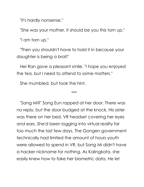"It's hardly nonsense."

"She was your mother, it should be you this torn up."

"I am torn up."

"Then you shouldn't have to hold it in because your daughter is being a brat!"

Hei Ran gave a pleasant smile. "I hope you enjoyed the tea, but I need to attend to some matters."

She mumbled, but took the hint.

\*\*\*

"Sang Mi?" Sang Eun rapped at her door. There was no reply, but the door budged at the knock. His sister was there on her bed, VR headset covering her eyes and ears. She'd been logging into virtual reality far too much the last few days. The Gongen government technically had limited the amount of hours youth were allowed to spend in VR, but Sang Mi didn't have a hacker nickname for nothing. As Kalingkata, she easily knew how to fake her biometric data. He let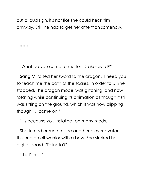out a loud sigh, it's not like she could hear him anyway. Still, he had to get her attention somehow.

\* \* \*

"What do you come to me for, Drakesword?"

Sang Mi raised her sword to the dragon. "I need you to teach me the path of the scales, in order to..." She stopped. The dragon model was glitching, and now rotating while continuing its animation as though it still was sitting on the ground, which it was now clipping though. "...come on."

"It's because you installed too many mods."

She turned around to see another player avatar, this one an elf warrior with a bow. She stroked her digital beard. "Talinata?"

"That's me."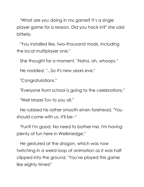"What are you doing in my game? It's a single player game for a reason. Did you hack in?" she said bitterly.

"You installed like, two-thousand mods. Including the local multiplayer one."

She thought for a moment, "Haha, oh, whoops."

He nodded, "...So it's new years eve."

"Congratulations."

"Everyone from school is going to the celebrations."

"Well Mazel Tov to you all."

He rubbed his rather smooth elven forehead, "You should come with us. It'll be--"

"Fun? I'm good. No need to bother me. I'm having plenty of fun here in Welkinedge."

He gestured at the dragon, which was now twitching in a weird loop of animation as it was half clipped into the ground, "You've played this game like eighty times!"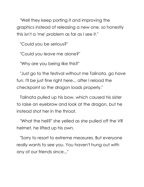"Well they keep porting it and improving the graphics instead of releasing a new one, so honestly this isn't a 'me' problem as far as I see it."

"Could you be serious?"

"Could you leave me alone?"

"Why are you being like this?"

"Just go to the festival without me Talinata, go have fun. I'll be just fine right here... after I reload the checkpoint so the dragon loads properly."

Talinata pulled up his bow, which caused his sister to raise an eyebrow and look at the dragon, but he instead shot her in the throat.

"What the hell?" she yelled as she pulled off the VR helmet, he lifted up his own.

"Sorry to resort to extreme measures. But everyone really wants to see you. You haven't hung out with any of our friends since..."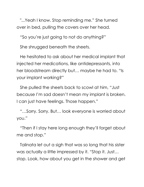"...Yeah I know. Stop reminding me." She turned over in bed, pulling the covers over her head.

"So you're just going to not do anything?"

She shrugged beneath the sheets.

He hesitated to ask about her medical implant that injected her medications, like antidepressants, into her bloodstream directly but… maybe he had to. "Is your implant working?"

She pulled the sheets back to scowl at him, "Just because I'm sad doesn't mean my implant is broken. I can just have feelings. Those happen."

"…Sorry. Sorry. But… look everyone is worried about you."

"Then if I stay here long enough they'll forget about me and stop."

Talinata let out a sigh that was so long that his sister was actually a little impressed by it. "Stop it. Just… stop. Look, how about you get in the shower and get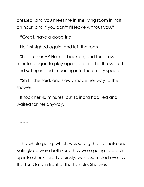dressed, and you meet me in the living room in half an hour, and if you don't I'll leave without you."

"Great, have a good trip."

He just sighed again, and left the room.

She put her VR Helmet back on, and for a few minutes began to play again, before she threw it off, and sat up in bed, moaning into the empty space.

"Shit," she said, and slowly made her way to the shower.

It took her 45 minutes, but Talinata had lied and waited for her anyway.

\* \* \*

The whole gang, which was so big that Talinata and Kalingkata were both sure they were going to break up into chunks pretty quickly, was assembled over by the Tori Gate in front of the Temple. She was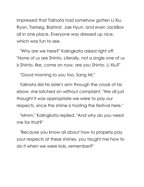impressed that Talinata had somehow gotten Li Xiu, Ryan, Tsetseg, Bashrat, Jae Hyun, and even JackBox all in one place. Everyone was dressed up nice, which was fun to see.

"Why are we here?" Kalingkata asked right off. "None of us are Shinto. Literally, not a single one of us is Shinto, like, come on now, are you Shinto, Li Xiu?"

"Good morning to you too, Sang Mi."

Talinata slid his sister's arm through the crook of his ebow, she latched on without complaint. "We all just thought it was appropriate we were to pay our respects, since the shrine is hosting the festival here."

"Mmm," Kalingkata replied. "And why do you need me for that?"

"Because you know all about how to properly pay your respects at these shrines, you taught me how to do it when we were kids, remember?"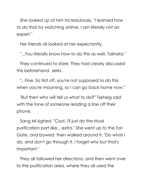She looked up at him incredulously, "I learned how to do that by watching anime. I am literally not an expert."

Her friends all looked at her expectantly.

"...You literally know how to do this as well, Talinata."

They continued to stare. They had clearly discussed this beforehand. Jerks.

"...Fine. So first off, you're not supposed to do this when you're mourning, so I can go back home now."

"But then who will tell us what to do?" Tsetseg said with the tone of someone reading a line off their phone.

Sang Mi sighed. "Cool. I'll just do the ritual purification part like... extra." She went up to the Tori Gate, and bowed, then walked around it. "Do what I do, and don't go through it. I forget why but that's important."

They all followed her directions, and then went over to the purification area, where they all used the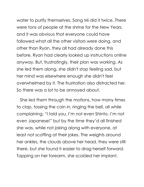water to purify themselves. Sang Mi did it twice. There were tons of people at the shrine for the New Years, and it was obvious that everyone could have

followed what all the other visitors were doing, and other than Ryan, they all had already done this before. Ryan had clearly looked up instructions online anyway. But, frustratingly, their plan was working. As she led them along, she didn't stop feeling sad, but her mind was elsewhere enough she didn't feel overwhelmed by it. The frustration also distracted her. So there was a lot to be annoyed about.

She led them through the motions, how many times to clap, tossing the coin in, ringing the bell, all while complaining, "I told you, I'm not even Shinto, I'm not even Japanese!" but by the time they'd all finished she was, while not joking along with everyone, at least not scoffing at their jokes. The weights around her ankles, the clouds above her head, they were still there, but she found it easier to drag herself forward. Tapping on her forearm, she scolded her implant.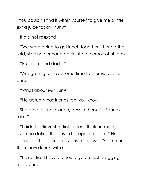"You couldn't find it within yourself to give me a little extra juice today, huh?"

It did not respond.

"We were going to get lunch together," her brother said, slipping her hand back into the crook of his arm.

"But mom and dad…"

"Are getting to have some time to themselves for once."

"What about Min Jun?"

"He actually has friends too, you know."

She gave a single laugh, despite herself. "Sounds fake."

"I didn't believe it at first either. I think he might even be dating this boy in his legal program." He grinned at her look of obvious skepticism. "Come on then, have lunch with us."

"It's not like I have a choice, you're just dragging me around."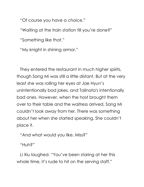"Of course you have a choice."

"Waiting at the train station till you're done?"

"Something like that."

"My knight in shining armor."

They entered the restaurant in much higher spirits, though Sang Mi was still a little distant. But at the very least she was rolling her eyes at Jae Hyun's unintentionally bad jokes, and Talinata's intentionally bad ones. However, when the host brought them over to their table and the waitress arrived, Sang Mi couldn't look away from her. There was something about her when she started speaking. She couldn't place it.

"And what would you like, Miss?"

"Huh?"

Li Xiu laughed. "You've been staring at her this whole time, it's rude to hit on the serving staff."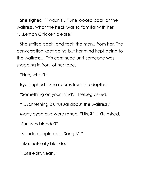She sighed, "I wasn't…" She looked back at the waitress. What the heck was so familiar with her. "…Lemon Chicken please."

She smiled back, and took the menu from her. The conversation kept going but her mind kept going to the waitress… This continued until someone was snapping in front of her face.

"Huh, what?"

Ryan sighed. "She returns from the depths."

"Something on your mind?" Tsetseg asked.

"…Something is unusual about the waitress."

Many eyebrows were raised. "Like?" Li Xiu asked.

"She was blonde?"

"Blonde people exist, Sang Mi."

"Like, naturally blonde."

"...Still exist, yeah."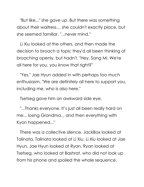"But like..." she gave up. But there was something about their waitress… she couldn't exactly place, but she seemed familiar. "...never mind."

Li Xiu looked at the others, and then made the decision to broach a topic they'd all been thinking of broaching openly, but hadn't. "Hey, Sang Mi. We're all here for you, you know that right?"

"Yes," Jae Hyun added in with perhaps too much enthusiasm. "We are definitely all here to support you, including me, who is also here."

Tsetseg gave him an awkward side eye.

"...Thanks everyone. It's just all been really hard on me... losing Grandma... and then everything with Kyon happened..."

There was a collective silence. JackBox looked at Talinata, Talinata looked at Li Xiu, Li Xiu looked at Jae Hyun, Jae Hyun looked at Ryan, Ryan looked at Tsetseg, who looked at Bashrat, who did not look up from his phone and spoiled the whole sequence.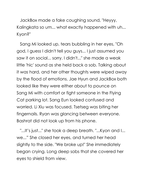JackBox made a fake coughing sound, "Heyyy, Kalingkata so um... what exactly happened with uh... Kyon?"

Sang Mi looked up, tears bubbling in her eyes, "Oh god, I guess I didn't tell you guys... I just assumed you saw it on social... sorry. I didn't..." she made a weak little 'hic' sound as she held back a sob. Talking about it was hard, and her other thoughts were wiped away by the flood of emotions. Jae Hyun and JackBox both looked like they were either about to pounce on Sang Mi with comfort or fight someone in the Flying Cat parking lot. Sang Eun looked confused and worried. Li Xiu was focused. Tsetseg was biting her fingernails. Ryan was glancing between everyone. Bashrat did not look up from his phone.

"...It's just..." she took a deep breath. "...Kyon and I... we..." She closed her eyes, and turned her head slightly to the side. "We broke up!" She immediately began crying. Long deep sobs that she covered her eyes to shield from view.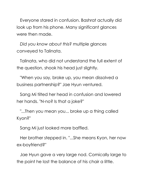Everyone stared in confusion. Bashrat actually did look up from his phone. Many significant glances were then made.

*Did you know about this?* multiple glances conveyed to Talinata.

Talinata, who did not understand the full extent of the question, shook his head just slightly.

"When you say, broke up, you mean dissolved a business partnership?" Jae Hyun ventured.

Sang Mi tilted her head in confusion and lowered her hands. "N-no? Is that a joke?"

"...Then you mean you... broke up a thing called Kyon?"

Sang Mi just looked more baffled.

Her brother stepped in. "...She means Kyon, her now ex-boyfriend?"

Jae Hyun gave a very large nod. Comically large to the point he lost the balance of his chair a little.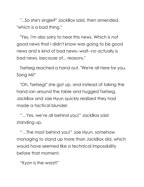"...So she's single?" JackBox said, then amended, "which is a bad thing."

"Yes, I'm also sorry to hear this news. Which is not good news that I didn't know was going to be good news and is kind of bad news--wait--no actually is bad news, because of... reasons."

Tsetseg reached a hand out. "We're all here for you, Sang Mi!"

"Oh, Tsetseg!" she got up, and instead of taking the hand ran around the table and hugged Tsetseg. JackBox and Jae Hyun quickly realized they had made a tactical blunder.

"…Yes, we're all behind you!" JackBox said standing up.

"…The most behind you!" Jae Hyun, somehow managing to stand up more than JackBox did, which would have seemed like a technical impossibility before that moment.

"Kyon is the worst!"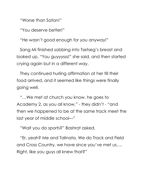"Worse than Satan!"

"You deserve better!"

"He wasn't good enough for you anyway!"

Sang Mi finished sobbing into Tsetseg's breast and looked up, "You guyyysss!" she said, and then started crying again but in a different way.

They continued hurling affirmation at her till their food arrived, and it seemed like things were finally going well.

"…We met at church you know, he goes to Academy 2, as you all know," - they didn't - "and then we happened to be at the same track meet the last year of middle school—"

"Wait you do sports?" Bashrat asked.

"Er, yeah? Me and Talinata. We do Track and Field and Cross Country, we have since you've met us…. Right, like you guys all knew that?"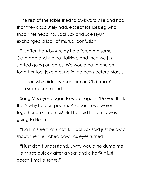The rest of the table tried to awkwardly lie and nod that they absolutely had, except for Tsetseg who shook her head no. JackBox and Jae Hyun exchanged a look of mutual confusion.

"…After the 4 by 4 relay he offered me some Gatorade and we got talking, and then we just started going on dates. We would go to church together too, joke around in the pews before Mass…"

"...Then why didn't we see him on Christmas?" JackBox mused aloud.

Sang Mi's eyes began to water again. "Do you think that's why he dumped me? Because we weren't together on Christmas? But he said his family was going to Hozin—"

"No I'm sure that's not it!" JackBox said just below a shout, then hunched down as eyes turned.

"I just don't understand… why would he dump me like this so quickly after a year and a half? It just doesn't make sense!"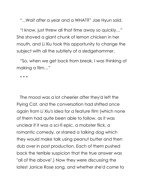"...Wait after a year and a WHAT?" Jae Hyun said.

"I know, just threw all that time away so quickly…" She shoved a giant chunk of lemon chicken in her mouth, and Li Xiu took this opportunity to change the subject with all the subtlety of a sledgehammer.

"So, when we get back from break, I was thinking of making a film…"

\* \* \*

The mood was a lot cheerier after they'd left the Flying Cat, and the conversation had shifted once again from Li Xiu's idea for a feature film (which none of them had quite been able to follow, as it was unclear if it was a sci-fi epic, a mobster flick, a romantic comedy, or starred a talking dog which they would make talk using peanut butter and then dub over in post production. Each of them pushed back the terrible suspicion that the true answer was "all of the above".) Now they were discussing the latest Janice Rose song, and whether she'd come to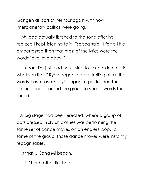Gongen as part of her tour again with how interplanetary politics were going.

"My dad actually listened to the song after he realized I kept listening to it," Tsetseg said. "I felt a little embarrassed then that most of the lyrics were the words 'love love baby'."

"I mean, I'm just glad he's trying to take an interest in what you like--" Ryan began, before trailing off as the words "Love Love Baby!" began to get louder. The co-incidence caused the group to veer towards the sound.

A big stage had been erected, where a group of bots dressed in stylish clothes was performing the same set of dance moves on an endless loop. To some of the group, those dance moves were instantly recognizable.

"Is that..." Sang Mi began.

"It is," her brother finished.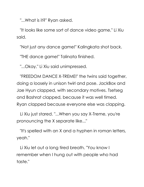"...What is it?" Ryan asked.

"It looks like some sort of dance video game," Li Xiu said.

"Not just any dance game!" Kalingkata shot back.

"THE dance game!" Talinata finished.

"...Okay," Li Xiu said unimpressed.

"FREEDOM DANCE X-TREME!" the twins said together, doing a loosely in unison twirl and pose. JackBox and Jae Hyun clapped, with secondary motives. Tsetseg and Bashrat clapped, because it was well timed. Ryan clapped because everyone else was clapping.

Li Xiu just stared. "...When you say X-Treme, you're pronouncing the X separate like..."

"It's spelled with an X and a hyphen in roman letters, yeah."

Li Xiu let out a long tired breath. "You know I remember when I hung out with people who had taste."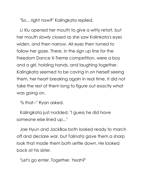"So... right now?" Kalingkata replied.

Li Xiu opened her mouth to give a witty retort, but her mouth slowly closed as she saw Kalinkata's eyes widen, and then narrow. All eyes then turned to follow her gaze. There, in the sign up line for the Freedom Dance X-Treme competition, were a boy and a girl, holding hands, and laughing together. Kalingkata seemed to be caving in on herself seeing them, her heart breaking again in real time. It did not take the rest of them long to figure out exactly what was going on.

"Is that--" Ryan asked.

Kalingkata just nodded, "I guess he did have someone else lined up..."

Jae Hyun and JackBox both looked ready to march off and declare war, but Talinata gave them a sharp look that made them both settle down. He looked back at his sister.

"Let's go enter. Together. Yeah?"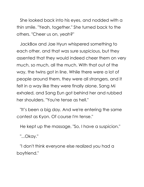She looked back into his eyes, and nodded with a thin smile. "Yeah, together." She turned back to the others. "Cheer us on, yeah?"

JackBox and Jae Hyun whispered something to each other, and that was sure suspicious, but they assented that they would indeed cheer them on very much, so much, all the much. With that out of the way, the twins got in line. While there were a lot of people around them, they were all strangers, and it felt in a way like they were finally alone. Sang Mi exhaled, and Sang Eun got behind her and rubbed her shoulders. "You're tense as hell."

"It's been a big day. And we're entering the same contest as Kyon. Of course I'm tense."

He kept up the massage, "So, I have a suspicion."

"...Okay."

"I don't think everyone else realized you had a boyfriend."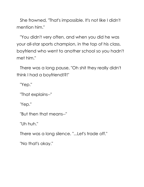She frowned, "That's impossible. It's not like I didn't mention him."

"You didn't very often, and when you did he was your all-star sports champion, in the top of his class, boyfriend who went to another school so you hadn't met him."

There was a long pause, "Oh shit they really didn't think I had a boyfriend!?!"

"Yep."

"That explains--"

'Yep."

"But then that means--"

"Uh huh."

There was a long silence. "...Let's trade off."

"No that's okay."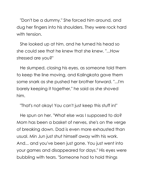"Don't be a dummy." She forced him around, and dug her fingers into his shoulders. They were rock hard with tension.

She looked up at him, and he turned his head so she could see that he knew that she knew. "...How stressed are you?"

He slumped, closing his eyes, as someone told them to keep the line moving, and Kalingkata gave them some snark as she pushed her brother forward. "...I'm barely keeping it together," he said as she shoved him.

"That's not okay! You can't just keep this stuff in!"

He spun on her. "What else was I supposed to do? Mom has been a basket of nerves, she's on the verge of breaking down. Dad is even more exhausted than usual. Min Jun just shut himself away with his work. And... and you've been just gone. You just went into your games and disappeared for days." His eyes were bubbling with tears. "Someone had to hold things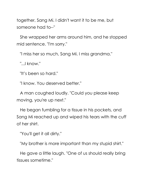together, Sang Mi. I didn't want it to be me, but someone had to--"

She wrapped her arms around him, and he stopped mid sentence. "I'm sorry."

"I miss her so much, Sang Mi. I miss grandma."

"...I know."

"It's been so hard."

"I know. You deserved better."

A man coughed loudly. "Could you please keep moving, you're up next."

He began fumbling for a tissue in his pockets, and Sang Mi reached up and wiped his tears with the cuff of her shirt.

"You'll get it all dirty."

"My brother is more important than my stupid shirt."

He gave a little laugh. "One of us should really bring tissues sometime."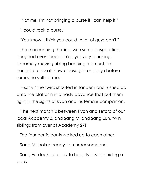"Not me, I'm not bringing a purse if I can help it." "I could rock a purse."

"You know, I think you could. A lot of guys can't."

The man running the line, with some desperation, coughed even louder. "Yes, yes very touching, extremely moving sibling bonding moment, I'm honored to see it, now please get on stage before someone yells at me."

"--sorry!" the twins shouted in tandem and rushed up onto the platform in a hasty advance that put them right in the sights of Kyon and his female companion.

"The next match is between Kyon and Tetora of our local Academy 2, and Sang Mi and Sang Eun, twin siblings from over at Academy 27!"

The four participants walked up to each other.

Sang Mi looked ready to murder someone.

Sang Eun looked ready to happily assist in hiding a body.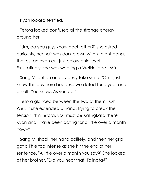Kyon looked terrified.

Tetora looked confused at the strange energy around her.

"Um, do you guys know each other?" she asked curiously, her hair was dark brown with straight bangs, the rest an even cut just below chin level. Frustratingly, she was wearing a Welkinridge t-shirt.

Sang Mi put on an obviously fake smile. "Oh, I just know this boy here because we dated for a year and a half. You know. As you do."

Tetora glanced between the two of them. "Oh! Well..." she extended a hand, trying to break the tension. "I'm Tetora, you must be Kalingkata then? Kyon and I have been dating for a little over a month now--"

Sang Mi shook her hand politely, and then her grip got a little too intense as she hit the end of her sentence. "A little over a month you say?" She looked at her brother. "Did you hear that, Talinata?"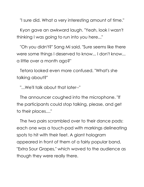"I sure did. What a very interesting amount of time."

Kyon gave an awkward laugh. "Yeah, look I wasn't thinking I was going to run into you here..."

"Oh you didn't?" Sang Mi said. "Sure seems like there were some things I deserved to know... I don't know... a little over a month ago?"

Tetora looked even more confused. "What's she talking about?"

"...We'll talk about that later--"

The announcer coughed into the microphone. "If the participants could stop talking, please, and get to their places...."

The two pairs scrambled over to their dance pads: each one was a touch-pad with markings delineating spots to hit with their feet. A giant hologram appeared in front of them of a fairly popular band, "Extra Sour Grapes," which waved to the audience as though they were really there.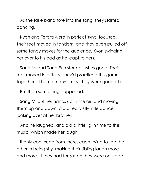As the fake band tore into the song, they started dancing.

Kyon and Tetora were in perfect sync, focused. Their feet moved in tandem, and they even pulled off some fancy moves for the audience, Kyon swinging her over to his pad as he leapt to hers.

Sang Mi and Sang Eun started just as good. Their feet moved in a flurry--they'd practiced this game together at home many times. They were good at it.

But then something happened.

Sang Mi put her hands up in the air, and moving them up and down, did a really silly little dance, looking over at her brother.

And he laughed, and did a little jig in time to the music, which made her laugh.

It only continued from there, each trying to top the other in being silly, making their sibling laugh more and more till they had forgotten they were on stage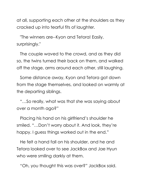at all, supporting each other at the shoulders as they cracked up into tearful fits of laughter.

"The winners are--Kyon and Tetora! Easily, surprisingly."

The couple waved to the crowd, and as they did so, the twins turned their back on them, and walked off the stage, arms around each other, still laughing.

Some distance away, Kyon and Tetora got down from the stage themselves, and looked on warmly at the departing siblings.

"…So really, what was that she was saying about over a month ago?"

Placing his hand on his girlfriend's shoulder he smiled. "…Don't worry about it. And look, they're happy. I guess things worked out in the end."

He felt a hand fall on his shoulder, and he and Tetora looked over to see JackBox and Jae Hyun who were smiling darkly at them.

"Oh, you thought this was over?" JackBox said.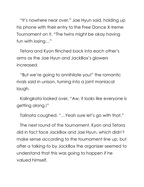"It's nowhere near over," Jae Hyun said, holding up his phone with their entry to the Free Dance X-treme Tournament on it. "The twins might be okay having fun with losing…"

Tetora and Kyon flinched back into each other's arms as the Jae Hyun and JackBox's glowers increased.

"But we're going to annihilate you!" the romantic rivals said in unison, turning into a joint maniacal laugh.

Kalingkata looked over, "Aw, it looks like everyone is getting along.!"

Talinata coughed. "…Yeah sure let's go with that."

The next round of the tournament, Kyon and Tetora did in fact face JackBox and Jae Hyun, which didn't make sense according to the tournament line up, but after a talking-to by JackBox the organizer seemed to understand that this was going to happen if he valued himself.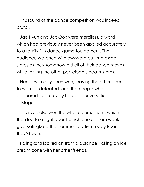This round of the dance competition was indeed brutal.

Jae Hyun and JackBox were merciless, a word which had previously never been applied accurately to a family fun dance game tournament. The audience watched with awkward but impressed stares as they somehow did all of their dance moves while giving the other participants death-stares.

Needless to say, they won, leaving the other couple to walk off defeated, and then begin what appeared to be a very heated conversation offstage.

The rivals also won the whole tournament, which then led to a fight about which one of them would give Kalingkata the commemorative Teddy Bear they'd won.

Kalingkata looked on from a distance, licking an ice cream cone with her other friends.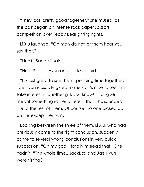"They look pretty good together," she mused, as the pair began an intense rock paper scissors competition over Teddy Bear gifting rights.

Li Xiu laughed. "Oh man do not let them hear you say that."

"Huh?" Sang Mi said.

"Huh?!?" Jae Hyun and JackBox said.

"It's just great to see them spending time together, Jae Hyun is usually glued to me so it's nice to see him take interest in another girl, you know?" Sang Mi meant something rather different than this sounded like to the rest of them. Of course, no one picked up on this except her twin.

Looking between the three of them, Li Xiu, who had previously come to the right conclusion, suddenly came to several wrong conclusions in very quick succession. "Oh my god, I totally misread that." She hadn't. "This whole time.. JackBox and Jae Hyun were flirting?"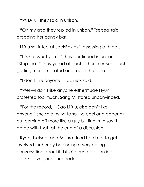"WHAT?" they said in unison.

"Oh my god they replied in unison," Tsetseg said, dropping her candy bar.

Li Xiu squinted at JackBox as if assessing a threat.

"It's not what you—" they continued in unison. "Stop that!" They yelled at each other in unison, each getting more frustrated and red in the face.

"I don't like anyone!" JackBox said.

"Well—I don't like anyone either!" Jae Hyun protested too much. Sang Mi stared unconvinced.

"For the record, I, Cao Li Xiu, also don't like anyone," she said trying to sound cool and debonair but coming off more like a guy butting in to say 'I agree with that' at the end of a discussion.

Ryan, Tsetseg, and Bashrat tried hard not to get involved further by beginning a very boring conversation about if 'blue' counted as an ice cream flavor, and succeeded.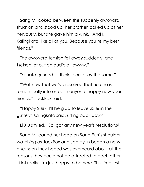Sang Mi looked between the suddenly awkward situation and stood up; her brother looked up at her nervously, but she gave him a wink. "And I, Kalingkata, like all of you. Because you're my best friends."

The awkward tension fell away suddenly, and Tsetseg let out an audible "awww."

Talinata grinned. "I think I could say the same."

"Well now that we've resolved that no one is romantically interested in anyone, happy new year friends," JackBox said.

"Happy 2387, I'll be glad to leave 2386 in the gutter," Kalingkata said, sitting back down.

Li Xiu smiled. "So, got any new year's resolutions?"

Sang Mi leaned her head on Sang Eun's shoulder, watching as JackBox and Jae Hyun began a noisy discussion they hoped was overheard about all the reasons they could not be attracted to each other "Not really. I'm just happy to be here. This time last